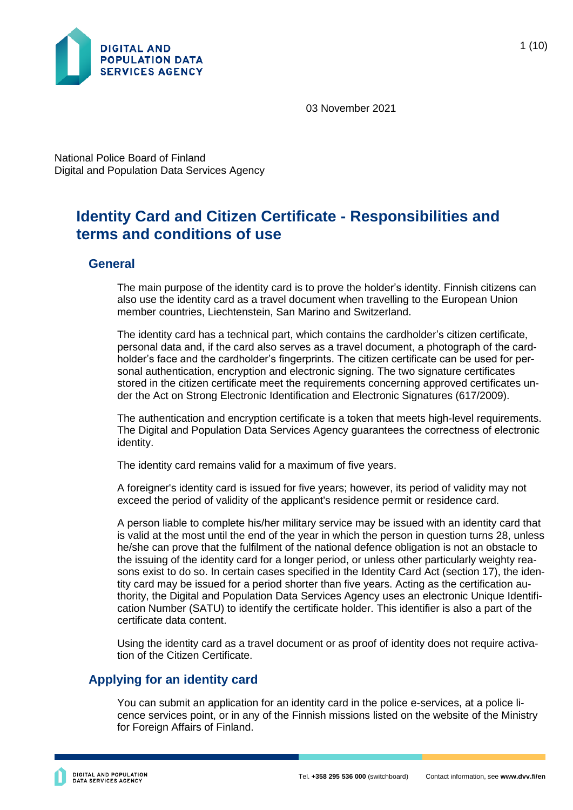

03 November 2021

National Police Board of Finland Digital and Population Data Services Agency

# **Identity Card and Citizen Certificate - Responsibilities and terms and conditions of use**

### **General**

The main purpose of the identity card is to prove the holder's identity. Finnish citizens can also use the identity card as a travel document when travelling to the European Union member countries, Liechtenstein, San Marino and Switzerland.

The identity card has a technical part, which contains the cardholder's citizen certificate, personal data and, if the card also serves as a travel document, a photograph of the cardholder's face and the cardholder's fingerprints. The citizen certificate can be used for personal authentication, encryption and electronic signing. The two signature certificates stored in the citizen certificate meet the requirements concerning approved certificates under the Act on Strong Electronic Identification and Electronic Signatures (617/2009).

The authentication and encryption certificate is a token that meets high-level requirements. The Digital and Population Data Services Agency guarantees the correctness of electronic identity.

The identity card remains valid for a maximum of five years.

A foreigner's identity card is issued for five years; however, its period of validity may not exceed the period of validity of the applicant's residence permit or residence card.

A person liable to complete his/her military service may be issued with an identity card that is valid at the most until the end of the year in which the person in question turns 28, unless he/she can prove that the fulfilment of the national defence obligation is not an obstacle to the issuing of the identity card for a longer period, or unless other particularly weighty reasons exist to do so. In certain cases specified in the Identity Card Act (section 17), the identity card may be issued for a period shorter than five years. Acting as the certification authority, the Digital and Population Data Services Agency uses an electronic Unique Identification Number (SATU) to identify the certificate holder. This identifier is also a part of the certificate data content.

Using the identity card as a travel document or as proof of identity does not require activation of the Citizen Certificate.

# **Applying for an identity card**

You can submit an application for an identity card in the police e-services, at a police licence services point, or in any of the Finnish missions listed on the website of the Ministry for Foreign Affairs of Finland.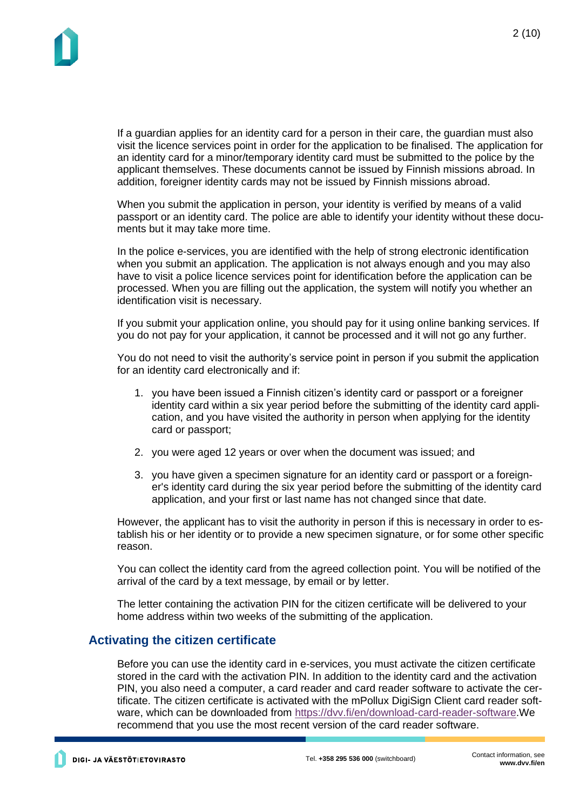If a guardian applies for an identity card for a person in their care, the guardian must also visit the licence services point in order for the application to be finalised. The application for an identity card for a minor/temporary identity card must be submitted to the police by the applicant themselves. These documents cannot be issued by Finnish missions abroad. In addition, foreigner identity cards may not be issued by Finnish missions abroad.

When you submit the application in person, your identity is verified by means of a valid passport or an identity card. The police are able to identify your identity without these documents but it may take more time.

In the police e-services, you are identified with the help of strong electronic identification when you submit an application. The application is not always enough and you may also have to visit a police licence services point for identification before the application can be processed. When you are filling out the application, the system will notify you whether an identification visit is necessary.

If you submit your application online, you should pay for it using online banking services. If you do not pay for your application, it cannot be processed and it will not go any further.

You do not need to visit the authority's service point in person if you submit the application for an identity card electronically and if:

- 1. you have been issued a Finnish citizen's identity card or passport or a foreigner identity card within a six year period before the submitting of the identity card application, and you have visited the authority in person when applying for the identity card or passport;
- 2. you were aged 12 years or over when the document was issued; and
- 3. you have given a specimen signature for an identity card or passport or a foreigner's identity card during the six year period before the submitting of the identity card application, and your first or last name has not changed since that date.

However, the applicant has to visit the authority in person if this is necessary in order to establish his or her identity or to provide a new specimen signature, or for some other specific reason.

You can collect the identity card from the agreed collection point. You will be notified of the arrival of the card by a text message, by email or by letter.

The letter containing the activation PIN for the citizen certificate will be delivered to your home address within two weeks of the submitting of the application.

### **Activating the citizen certificate**

Before you can use the identity card in e-services, you must activate the citizen certificate stored in the card with the activation PIN. In addition to the identity card and the activation PIN, you also need a computer, a card reader and card reader software to activate the certificate. The citizen certificate is activated with the mPollux DigiSign Client card reader software, which can be downloaded from [https://dvv.fi/en/download-card-reader-software.](https://dvv.fi/en/download-card-reader-software)We recommend that you use the most recent version of the card reader software.

DIGI- JA VÄESTÖTIETOVIRASTO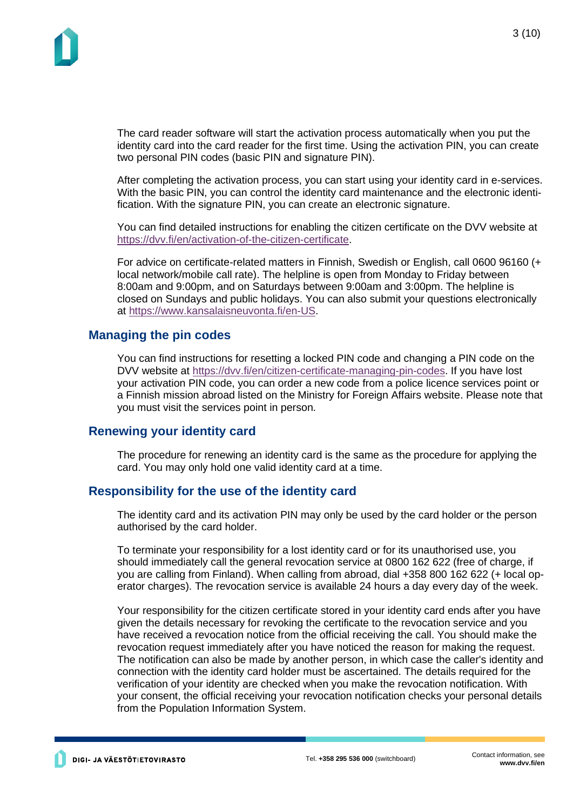The card reader software will start the activation process automatically when you put the identity card into the card reader for the first time. Using the activation PIN, you can create two personal PIN codes (basic PIN and signature PIN).

After completing the activation process, you can start using your identity card in e-services. With the basic PIN, you can control the identity card maintenance and the electronic identification. With the signature PIN, you can create an electronic signature.

You can find detailed instructions for enabling the citizen certificate on the DVV website at [https://dvv.fi/en/activation-of-the-citizen-certificate.](https://dvv.fi/en/activation-of-the-citizen-certificate)

For advice on certificate-related matters in Finnish, Swedish or English, call 0600 96160 (+ local network/mobile call rate). The helpline is open from Monday to Friday between 8:00am and 9:00pm, and on Saturdays between 9:00am and 3:00pm. The helpline is closed on Sundays and public holidays. You can also submit your questions electronically at [https://www.kansalaisneuvonta.fi/en-US.](https://www.kansalaisneuvonta.fi/en-US)

### **Managing the pin codes**

You can find instructions for resetting a locked PIN code and changing a PIN code on the DVV website at [https://dvv.fi/en/citizen-certificate-managing-pin-codes.](https://dvv.fi/en/citizen-certificate-managing-pin-codes) If you have lost your activation PIN code, you can order a new code from a police licence services point or a Finnish mission abroad listed on the Ministry for Foreign Affairs website. Please note that you must visit the services point in person.

### **Renewing your identity card**

The procedure for renewing an identity card is the same as the procedure for applying the card. You may only hold one valid identity card at a time.

### **Responsibility for the use of the identity card**

The identity card and its activation PIN may only be used by the card holder or the person authorised by the card holder.

To terminate your responsibility for a lost identity card or for its unauthorised use, you should immediately call the general revocation service at 0800 162 622 (free of charge, if you are calling from Finland). When calling from abroad, dial +358 800 162 622 (+ local operator charges). The revocation service is available 24 hours a day every day of the week.

Your responsibility for the citizen certificate stored in your identity card ends after you have given the details necessary for revoking the certificate to the revocation service and you have received a revocation notice from the official receiving the call. You should make the revocation request immediately after you have noticed the reason for making the request. The notification can also be made by another person, in which case the caller's identity and connection with the identity card holder must be ascertained. The details required for the verification of your identity are checked when you make the revocation notification. With your consent, the official receiving your revocation notification checks your personal details from the Population Information System.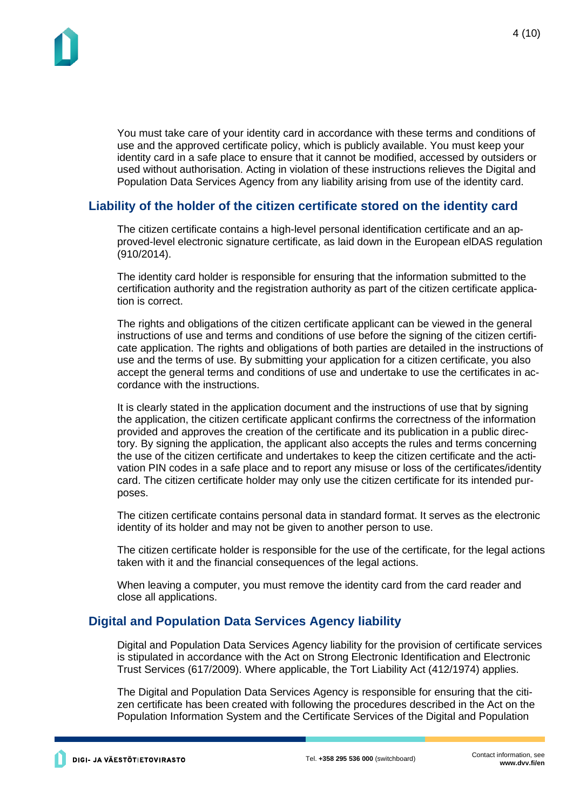

You must take care of your identity card in accordance with these terms and conditions of use and the approved certificate policy, which is publicly available. You must keep your identity card in a safe place to ensure that it cannot be modified, accessed by outsiders or used without authorisation. Acting in violation of these instructions relieves the Digital and Population Data Services Agency from any liability arising from use of the identity card.

# **Liability of the holder of the citizen certificate stored on the identity card**

The citizen certificate contains a high-level personal identification certificate and an approved-level electronic signature certificate, as laid down in the European elDAS regulation (910/2014).

The identity card holder is responsible for ensuring that the information submitted to the certification authority and the registration authority as part of the citizen certificate application is correct.

The rights and obligations of the citizen certificate applicant can be viewed in the general instructions of use and terms and conditions of use before the signing of the citizen certificate application. The rights and obligations of both parties are detailed in the instructions of use and the terms of use. By submitting your application for a citizen certificate, you also accept the general terms and conditions of use and undertake to use the certificates in accordance with the instructions.

It is clearly stated in the application document and the instructions of use that by signing the application, the citizen certificate applicant confirms the correctness of the information provided and approves the creation of the certificate and its publication in a public directory. By signing the application, the applicant also accepts the rules and terms concerning the use of the citizen certificate and undertakes to keep the citizen certificate and the activation PIN codes in a safe place and to report any misuse or loss of the certificates/identity card. The citizen certificate holder may only use the citizen certificate for its intended purposes.

The citizen certificate contains personal data in standard format. It serves as the electronic identity of its holder and may not be given to another person to use.

The citizen certificate holder is responsible for the use of the certificate, for the legal actions taken with it and the financial consequences of the legal actions.

When leaving a computer, you must remove the identity card from the card reader and close all applications.

# **Digital and Population Data Services Agency liability**

Digital and Population Data Services Agency liability for the provision of certificate services is stipulated in accordance with the Act on Strong Electronic Identification and Electronic Trust Services (617/2009). Where applicable, the Tort Liability Act (412/1974) applies.

The Digital and Population Data Services Agency is responsible for ensuring that the citizen certificate has been created with following the procedures described in the Act on the Population Information System and the Certificate Services of the Digital and Population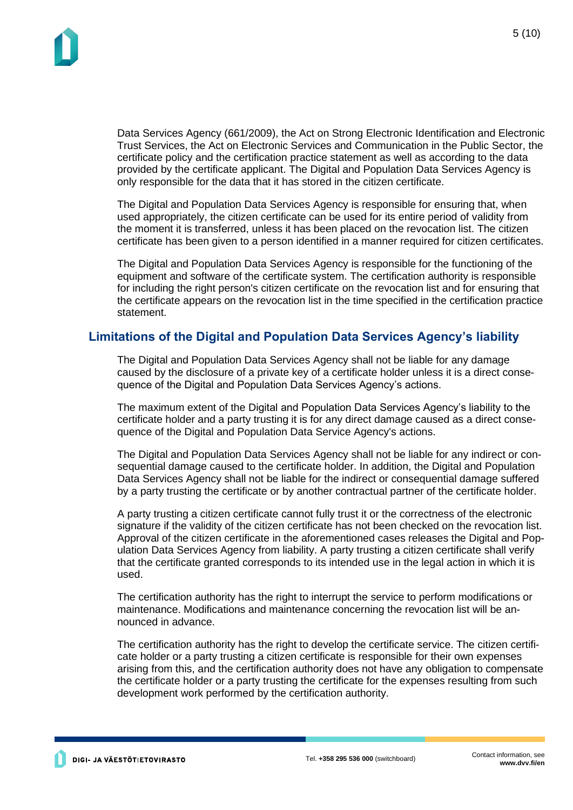Data Services Agency (661/2009), the Act on Strong Electronic Identification and Electronic Trust Services, the Act on Electronic Services and Communication in the Public Sector, the certificate policy and the certification practice statement as well as according to the data provided by the certificate applicant. The Digital and Population Data Services Agency is only responsible for the data that it has stored in the citizen certificate.

The Digital and Population Data Services Agency is responsible for ensuring that, when used appropriately, the citizen certificate can be used for its entire period of validity from the moment it is transferred, unless it has been placed on the revocation list. The citizen certificate has been given to a person identified in a manner required for citizen certificates.

The Digital and Population Data Services Agency is responsible for the functioning of the equipment and software of the certificate system. The certification authority is responsible for including the right person's citizen certificate on the revocation list and for ensuring that the certificate appears on the revocation list in the time specified in the certification practice statement.

# **Limitations of the Digital and Population Data Services Agency's liability**

The Digital and Population Data Services Agency shall not be liable for any damage caused by the disclosure of a private key of a certificate holder unless it is a direct consequence of the Digital and Population Data Services Agency's actions.

The maximum extent of the Digital and Population Data Services Agency's liability to the certificate holder and a party trusting it is for any direct damage caused as a direct consequence of the Digital and Population Data Service Agency's actions.

The Digital and Population Data Services Agency shall not be liable for any indirect or consequential damage caused to the certificate holder. In addition, the Digital and Population Data Services Agency shall not be liable for the indirect or consequential damage suffered by a party trusting the certificate or by another contractual partner of the certificate holder.

A party trusting a citizen certificate cannot fully trust it or the correctness of the electronic signature if the validity of the citizen certificate has not been checked on the revocation list. Approval of the citizen certificate in the aforementioned cases releases the Digital and Population Data Services Agency from liability. A party trusting a citizen certificate shall verify that the certificate granted corresponds to its intended use in the legal action in which it is used.

The certification authority has the right to interrupt the service to perform modifications or maintenance. Modifications and maintenance concerning the revocation list will be announced in advance.

The certification authority has the right to develop the certificate service. The citizen certificate holder or a party trusting a citizen certificate is responsible for their own expenses arising from this, and the certification authority does not have any obligation to compensate the certificate holder or a party trusting the certificate for the expenses resulting from such development work performed by the certification authority.

5 (10)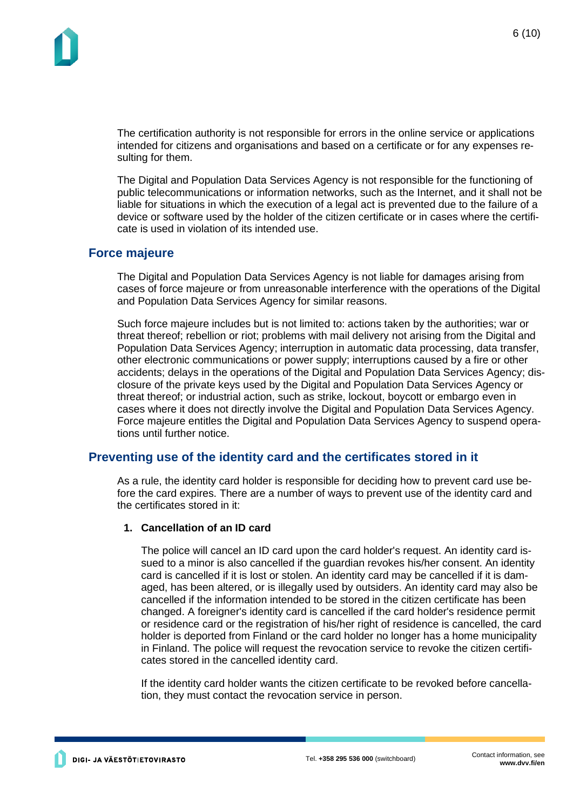The certification authority is not responsible for errors in the online service or applications intended for citizens and organisations and based on a certificate or for any expenses resulting for them.

The Digital and Population Data Services Agency is not responsible for the functioning of public telecommunications or information networks, such as the Internet, and it shall not be liable for situations in which the execution of a legal act is prevented due to the failure of a device or software used by the holder of the citizen certificate or in cases where the certificate is used in violation of its intended use.

### **Force majeure**

The Digital and Population Data Services Agency is not liable for damages arising from cases of force majeure or from unreasonable interference with the operations of the Digital and Population Data Services Agency for similar reasons.

Such force majeure includes but is not limited to: actions taken by the authorities; war or threat thereof; rebellion or riot; problems with mail delivery not arising from the Digital and Population Data Services Agency; interruption in automatic data processing, data transfer, other electronic communications or power supply; interruptions caused by a fire or other accidents; delays in the operations of the Digital and Population Data Services Agency; disclosure of the private keys used by the Digital and Population Data Services Agency or threat thereof; or industrial action, such as strike, lockout, boycott or embargo even in cases where it does not directly involve the Digital and Population Data Services Agency. Force majeure entitles the Digital and Population Data Services Agency to suspend operations until further notice.

# **Preventing use of the identity card and the certificates stored in it**

As a rule, the identity card holder is responsible for deciding how to prevent card use before the card expires. There are a number of ways to prevent use of the identity card and the certificates stored in it:

#### **1. Cancellation of an ID card**

The police will cancel an ID card upon the card holder's request. An identity card issued to a minor is also cancelled if the guardian revokes his/her consent. An identity card is cancelled if it is lost or stolen. An identity card may be cancelled if it is damaged, has been altered, or is illegally used by outsiders. An identity card may also be cancelled if the information intended to be stored in the citizen certificate has been changed. A foreigner's identity card is cancelled if the card holder's residence permit or residence card or the registration of his/her right of residence is cancelled, the card holder is deported from Finland or the card holder no longer has a home municipality in Finland. The police will request the revocation service to revoke the citizen certificates stored in the cancelled identity card.

If the identity card holder wants the citizen certificate to be revoked before cancellation, they must contact the revocation service in person.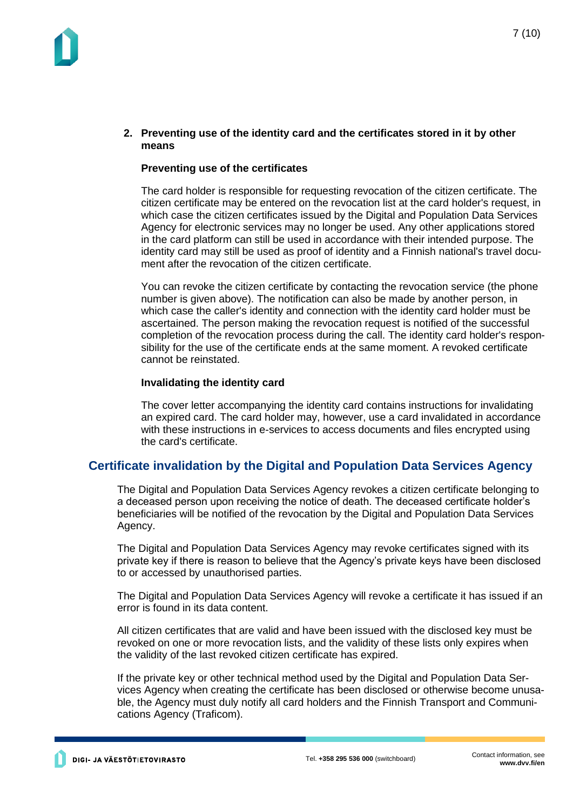#### **2. Preventing use of the identity card and the certificates stored in it by other means**

### **Preventing use of the certificates**

The card holder is responsible for requesting revocation of the citizen certificate. The citizen certificate may be entered on the revocation list at the card holder's request, in which case the citizen certificates issued by the Digital and Population Data Services Agency for electronic services may no longer be used. Any other applications stored in the card platform can still be used in accordance with their intended purpose. The identity card may still be used as proof of identity and a Finnish national's travel document after the revocation of the citizen certificate.

You can revoke the citizen certificate by contacting the revocation service (the phone number is given above). The notification can also be made by another person, in which case the caller's identity and connection with the identity card holder must be ascertained. The person making the revocation request is notified of the successful completion of the revocation process during the call. The identity card holder's responsibility for the use of the certificate ends at the same moment. A revoked certificate cannot be reinstated.

#### **Invalidating the identity card**

The cover letter accompanying the identity card contains instructions for invalidating an expired card. The card holder may, however, use a card invalidated in accordance with these instructions in e-services to access documents and files encrypted using the card's certificate.

# **Certificate invalidation by the Digital and Population Data Services Agency**

The Digital and Population Data Services Agency revokes a citizen certificate belonging to a deceased person upon receiving the notice of death. The deceased certificate holder's beneficiaries will be notified of the revocation by the Digital and Population Data Services Agency.

The Digital and Population Data Services Agency may revoke certificates signed with its private key if there is reason to believe that the Agency's private keys have been disclosed to or accessed by unauthorised parties.

The Digital and Population Data Services Agency will revoke a certificate it has issued if an error is found in its data content.

All citizen certificates that are valid and have been issued with the disclosed key must be revoked on one or more revocation lists, and the validity of these lists only expires when the validity of the last revoked citizen certificate has expired.

If the private key or other technical method used by the Digital and Population Data Services Agency when creating the certificate has been disclosed or otherwise become unusable, the Agency must duly notify all card holders and the Finnish Transport and Communications Agency (Traficom).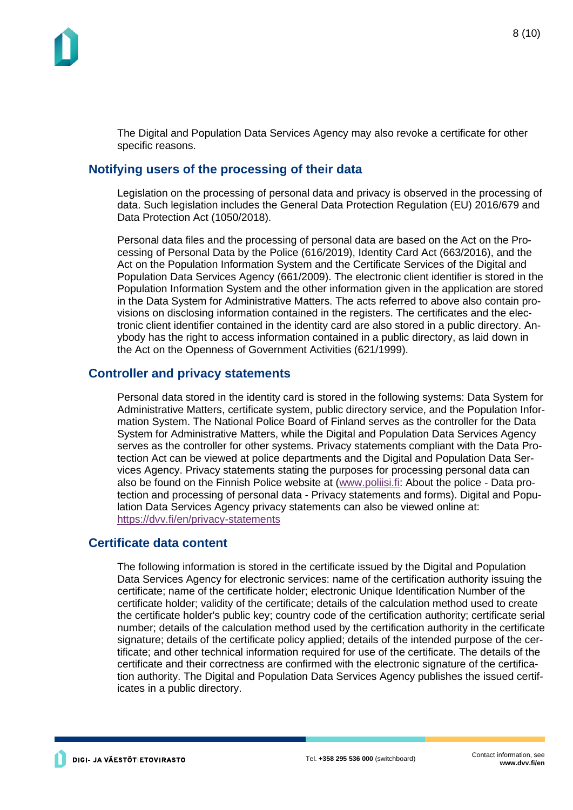The Digital and Population Data Services Agency may also revoke a certificate for other specific reasons.

# **Notifying users of the processing of their data**

Legislation on the processing of personal data and privacy is observed in the processing of data. Such legislation includes the General Data Protection Regulation (EU) 2016/679 and Data Protection Act (1050/2018).

Personal data files and the processing of personal data are based on the Act on the Processing of Personal Data by the Police (616/2019), Identity Card Act (663/2016), and the Act on the Population Information System and the Certificate Services of the Digital and Population Data Services Agency (661/2009). The electronic client identifier is stored in the Population Information System and the other information given in the application are stored in the Data System for Administrative Matters. The acts referred to above also contain provisions on disclosing information contained in the registers. The certificates and the electronic client identifier contained in the identity card are also stored in a public directory. Anybody has the right to access information contained in a public directory, as laid down in the Act on the Openness of Government Activities (621/1999).

### **Controller and privacy statements**

Personal data stored in the identity card is stored in the following systems: Data System for Administrative Matters, certificate system, public directory service, and the Population Information System. The National Police Board of Finland serves as the controller for the Data System for Administrative Matters, while the Digital and Population Data Services Agency serves as the controller for other systems. Privacy statements compliant with the Data Protection Act can be viewed at police departments and the Digital and Population Data Services Agency. Privacy statements stating the purposes for processing personal data can also be found on the Finnish Police website at [\(www.poliisi.fi:](http://www.poliisi.fi/) About the police - Data protection and processing of personal data - Privacy statements and forms). Digital and Population Data Services Agency privacy statements can also be viewed online at: <https://dvv.fi/en/privacy-statements>

### **Certificate data content**

The following information is stored in the certificate issued by the Digital and Population Data Services Agency for electronic services: name of the certification authority issuing the certificate; name of the certificate holder; electronic Unique Identification Number of the certificate holder; validity of the certificate; details of the calculation method used to create the certificate holder's public key; country code of the certification authority; certificate serial number; details of the calculation method used by the certification authority in the certificate signature; details of the certificate policy applied; details of the intended purpose of the certificate; and other technical information required for use of the certificate. The details of the certificate and their correctness are confirmed with the electronic signature of the certification authority. The Digital and Population Data Services Agency publishes the issued certificates in a public directory.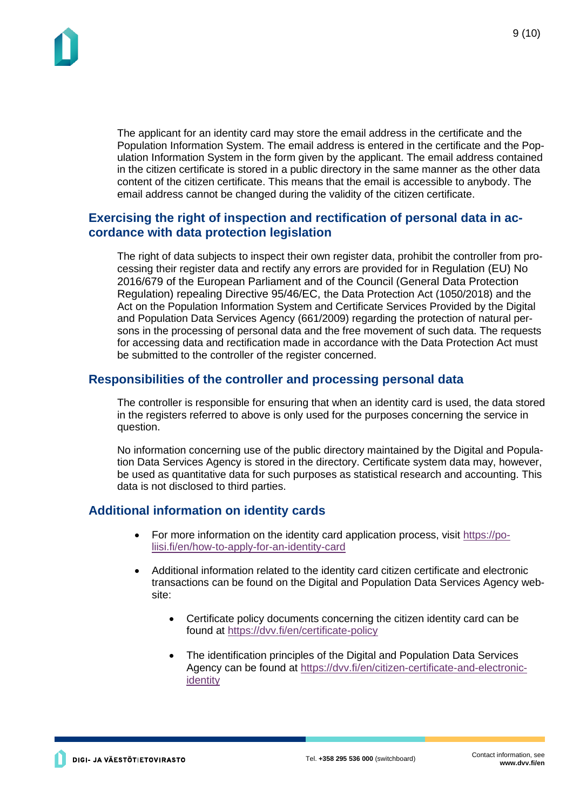The applicant for an identity card may store the email address in the certificate and the Population Information System. The email address is entered in the certificate and the Population Information System in the form given by the applicant. The email address contained in the citizen certificate is stored in a public directory in the same manner as the other data content of the citizen certificate. This means that the email is accessible to anybody. The email address cannot be changed during the validity of the citizen certificate.

# **Exercising the right of inspection and rectification of personal data in accordance with data protection legislation**

The right of data subjects to inspect their own register data, prohibit the controller from processing their register data and rectify any errors are provided for in Regulation (EU) No 2016/679 of the European Parliament and of the Council (General Data Protection Regulation) repealing Directive 95/46/EC, the Data Protection Act (1050/2018) and the Act on the Population Information System and Certificate Services Provided by the Digital and Population Data Services Agency (661/2009) regarding the protection of natural persons in the processing of personal data and the free movement of such data. The requests for accessing data and rectification made in accordance with the Data Protection Act must be submitted to the controller of the register concerned.

# **Responsibilities of the controller and processing personal data**

The controller is responsible for ensuring that when an identity card is used, the data stored in the registers referred to above is only used for the purposes concerning the service in question.

No information concerning use of the public directory maintained by the Digital and Population Data Services Agency is stored in the directory. Certificate system data may, however, be used as quantitative data for such purposes as statistical research and accounting. This data is not disclosed to third parties.

# **Additional information on identity cards**

- For more information on the identity card application process, visit [https://po](https://poliisi.fi/en/how-to-apply-for-an-identity-card)[liisi.fi/en/how-to-apply-for-an-identity-card](https://poliisi.fi/en/how-to-apply-for-an-identity-card)
- Additional information related to the identity card citizen certificate and electronic transactions can be found on the Digital and Population Data Services Agency website:
	- Certificate policy documents concerning the citizen identity card can be found at <https://dvv.fi/en/certificate-policy>
	- The identification principles of the Digital and Population Data Services Agency can be found at [https://dvv.fi/en/citizen-certificate-and-electronic](https://dvv.fi/en/citizen-certificate-and-electronic-identity)[identity](https://dvv.fi/en/citizen-certificate-and-electronic-identity)